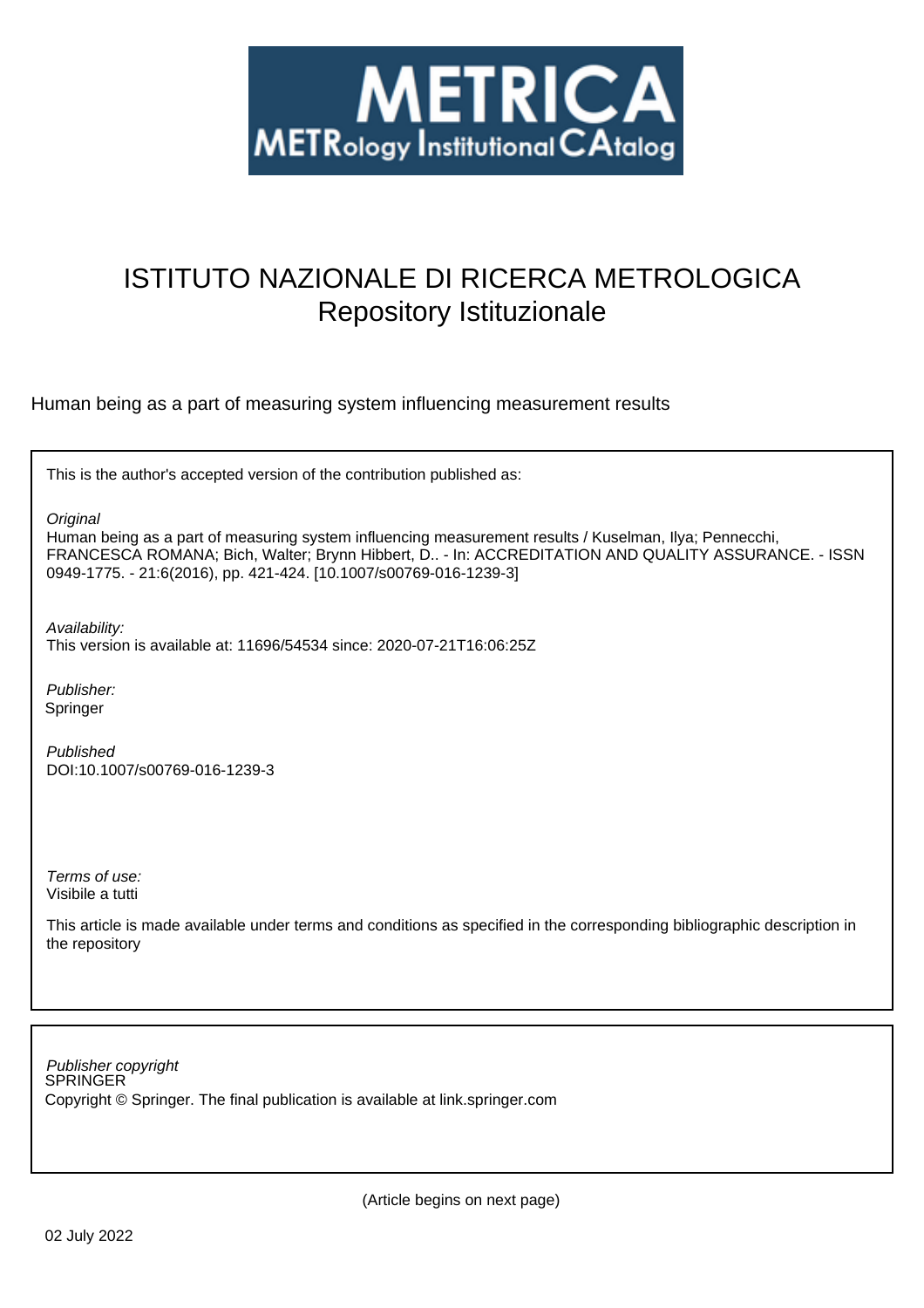

# ISTITUTO NAZIONALE DI RICERCA METROLOGICA Repository Istituzionale

Human being as a part of measuring system influencing measurement results

This is the author's accepted version of the contribution published as:

**Original** 

Human being as a part of measuring system influencing measurement results / Kuselman, Ilya; Pennecchi, FRANCESCA ROMANA; Bich, Walter; Brynn Hibbert, D.. - In: ACCREDITATION AND QUALITY ASSURANCE. - ISSN 0949-1775. - 21:6(2016), pp. 421-424. [10.1007/s00769-016-1239-3]

Availability:

This version is available at: 11696/54534 since: 2020-07-21T16:06:25Z

Publisher: Springer

Published DOI:10.1007/s00769-016-1239-3

Terms of use: Visibile a tutti

This article is made available under terms and conditions as specified in the corresponding bibliographic description in the repository

SPRINGER Publisher copyright Copyright © Springer. The final publication is available at link.springer.com

(Article begins on next page)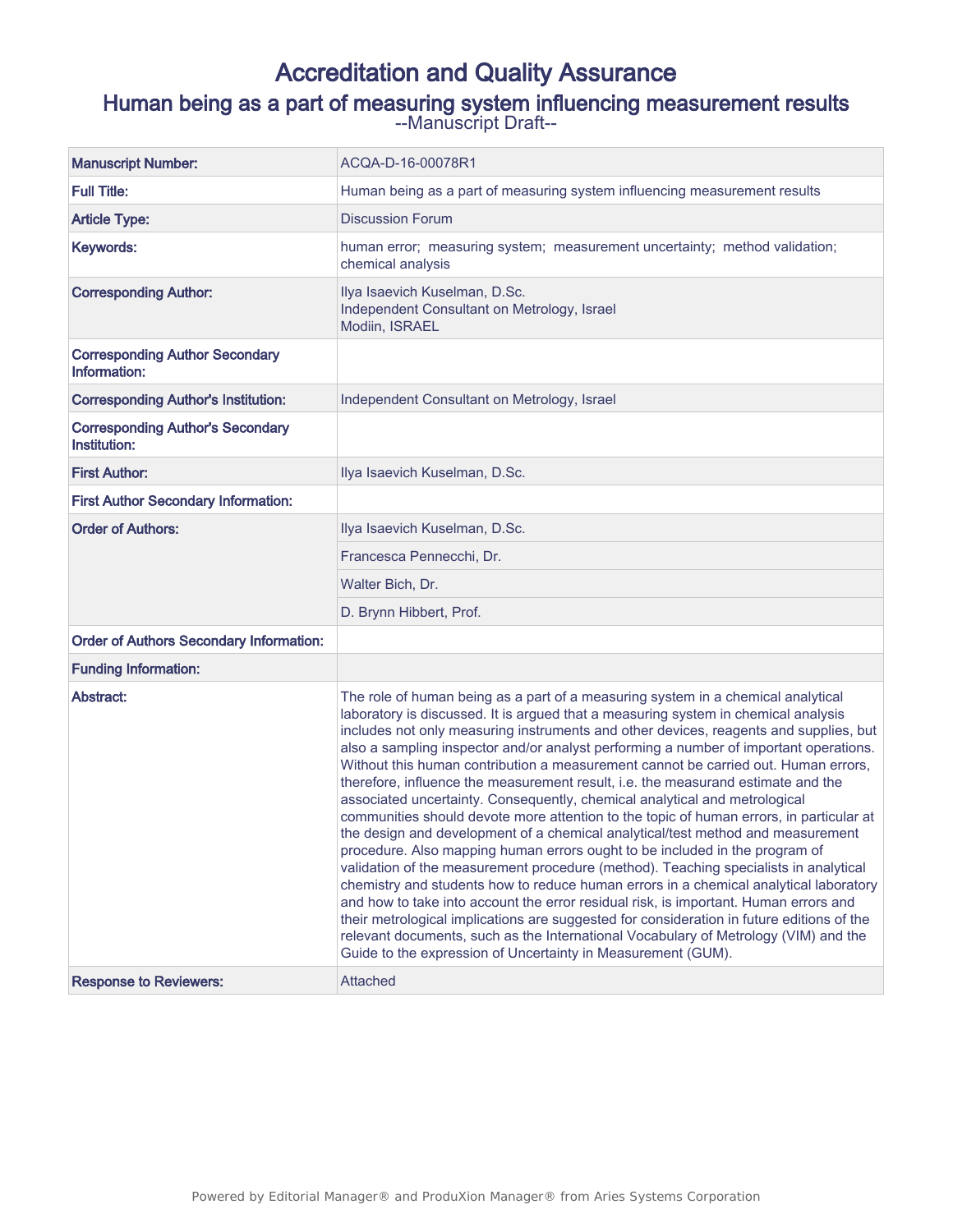## Accreditation and Quality Assurance Human being as a part of measuring system influencing measurement results

--Manuscript Draft--

| <b>Manuscript Number:</b>                               | ACQA-D-16-00078R1                                                                                                                                                                                                                                                                                                                                                                                                                                                                                                                                                                                                                                                                                                                                                                                                                                                                                                                                                                                                                                                                                                                                                                                                                                                                                                                                                                                          |
|---------------------------------------------------------|------------------------------------------------------------------------------------------------------------------------------------------------------------------------------------------------------------------------------------------------------------------------------------------------------------------------------------------------------------------------------------------------------------------------------------------------------------------------------------------------------------------------------------------------------------------------------------------------------------------------------------------------------------------------------------------------------------------------------------------------------------------------------------------------------------------------------------------------------------------------------------------------------------------------------------------------------------------------------------------------------------------------------------------------------------------------------------------------------------------------------------------------------------------------------------------------------------------------------------------------------------------------------------------------------------------------------------------------------------------------------------------------------------|
| <b>Full Title:</b>                                      | Human being as a part of measuring system influencing measurement results                                                                                                                                                                                                                                                                                                                                                                                                                                                                                                                                                                                                                                                                                                                                                                                                                                                                                                                                                                                                                                                                                                                                                                                                                                                                                                                                  |
| <b>Article Type:</b>                                    | <b>Discussion Forum</b>                                                                                                                                                                                                                                                                                                                                                                                                                                                                                                                                                                                                                                                                                                                                                                                                                                                                                                                                                                                                                                                                                                                                                                                                                                                                                                                                                                                    |
| Keywords:                                               | human error; measuring system; measurement uncertainty; method validation;<br>chemical analysis                                                                                                                                                                                                                                                                                                                                                                                                                                                                                                                                                                                                                                                                                                                                                                                                                                                                                                                                                                                                                                                                                                                                                                                                                                                                                                            |
| <b>Corresponding Author:</b>                            | Ilya Isaevich Kuselman, D.Sc.<br>Independent Consultant on Metrology, Israel<br>Modiin, ISRAEL                                                                                                                                                                                                                                                                                                                                                                                                                                                                                                                                                                                                                                                                                                                                                                                                                                                                                                                                                                                                                                                                                                                                                                                                                                                                                                             |
| <b>Corresponding Author Secondary</b><br>Information:   |                                                                                                                                                                                                                                                                                                                                                                                                                                                                                                                                                                                                                                                                                                                                                                                                                                                                                                                                                                                                                                                                                                                                                                                                                                                                                                                                                                                                            |
| <b>Corresponding Author's Institution:</b>              | Independent Consultant on Metrology, Israel                                                                                                                                                                                                                                                                                                                                                                                                                                                                                                                                                                                                                                                                                                                                                                                                                                                                                                                                                                                                                                                                                                                                                                                                                                                                                                                                                                |
| <b>Corresponding Author's Secondary</b><br>Institution: |                                                                                                                                                                                                                                                                                                                                                                                                                                                                                                                                                                                                                                                                                                                                                                                                                                                                                                                                                                                                                                                                                                                                                                                                                                                                                                                                                                                                            |
| <b>First Author:</b>                                    | Ilya Isaevich Kuselman, D.Sc.                                                                                                                                                                                                                                                                                                                                                                                                                                                                                                                                                                                                                                                                                                                                                                                                                                                                                                                                                                                                                                                                                                                                                                                                                                                                                                                                                                              |
| <b>First Author Secondary Information:</b>              |                                                                                                                                                                                                                                                                                                                                                                                                                                                                                                                                                                                                                                                                                                                                                                                                                                                                                                                                                                                                                                                                                                                                                                                                                                                                                                                                                                                                            |
| <b>Order of Authors:</b>                                | Ilya Isaevich Kuselman, D.Sc.                                                                                                                                                                                                                                                                                                                                                                                                                                                                                                                                                                                                                                                                                                                                                                                                                                                                                                                                                                                                                                                                                                                                                                                                                                                                                                                                                                              |
|                                                         | Francesca Pennecchi, Dr.                                                                                                                                                                                                                                                                                                                                                                                                                                                                                                                                                                                                                                                                                                                                                                                                                                                                                                                                                                                                                                                                                                                                                                                                                                                                                                                                                                                   |
|                                                         | Walter Bich, Dr.                                                                                                                                                                                                                                                                                                                                                                                                                                                                                                                                                                                                                                                                                                                                                                                                                                                                                                                                                                                                                                                                                                                                                                                                                                                                                                                                                                                           |
|                                                         | D. Brynn Hibbert, Prof.                                                                                                                                                                                                                                                                                                                                                                                                                                                                                                                                                                                                                                                                                                                                                                                                                                                                                                                                                                                                                                                                                                                                                                                                                                                                                                                                                                                    |
| <b>Order of Authors Secondary Information:</b>          |                                                                                                                                                                                                                                                                                                                                                                                                                                                                                                                                                                                                                                                                                                                                                                                                                                                                                                                                                                                                                                                                                                                                                                                                                                                                                                                                                                                                            |
| <b>Funding Information:</b>                             |                                                                                                                                                                                                                                                                                                                                                                                                                                                                                                                                                                                                                                                                                                                                                                                                                                                                                                                                                                                                                                                                                                                                                                                                                                                                                                                                                                                                            |
| Abstract:                                               | The role of human being as a part of a measuring system in a chemical analytical<br>laboratory is discussed. It is argued that a measuring system in chemical analysis<br>includes not only measuring instruments and other devices, reagents and supplies, but<br>also a sampling inspector and/or analyst performing a number of important operations.<br>Without this human contribution a measurement cannot be carried out. Human errors,<br>therefore, influence the measurement result, i.e. the measurand estimate and the<br>associated uncertainty. Consequently, chemical analytical and metrological<br>communities should devote more attention to the topic of human errors, in particular at<br>the design and development of a chemical analytical/test method and measurement<br>procedure. Also mapping human errors ought to be included in the program of<br>validation of the measurement procedure (method). Teaching specialists in analytical<br>chemistry and students how to reduce human errors in a chemical analytical laboratory<br>and how to take into account the error residual risk, is important. Human errors and<br>their metrological implications are suggested for consideration in future editions of the<br>relevant documents, such as the International Vocabulary of Metrology (VIM) and the<br>Guide to the expression of Uncertainty in Measurement (GUM). |
| <b>Response to Reviewers:</b>                           | Attached                                                                                                                                                                                                                                                                                                                                                                                                                                                                                                                                                                                                                                                                                                                                                                                                                                                                                                                                                                                                                                                                                                                                                                                                                                                                                                                                                                                                   |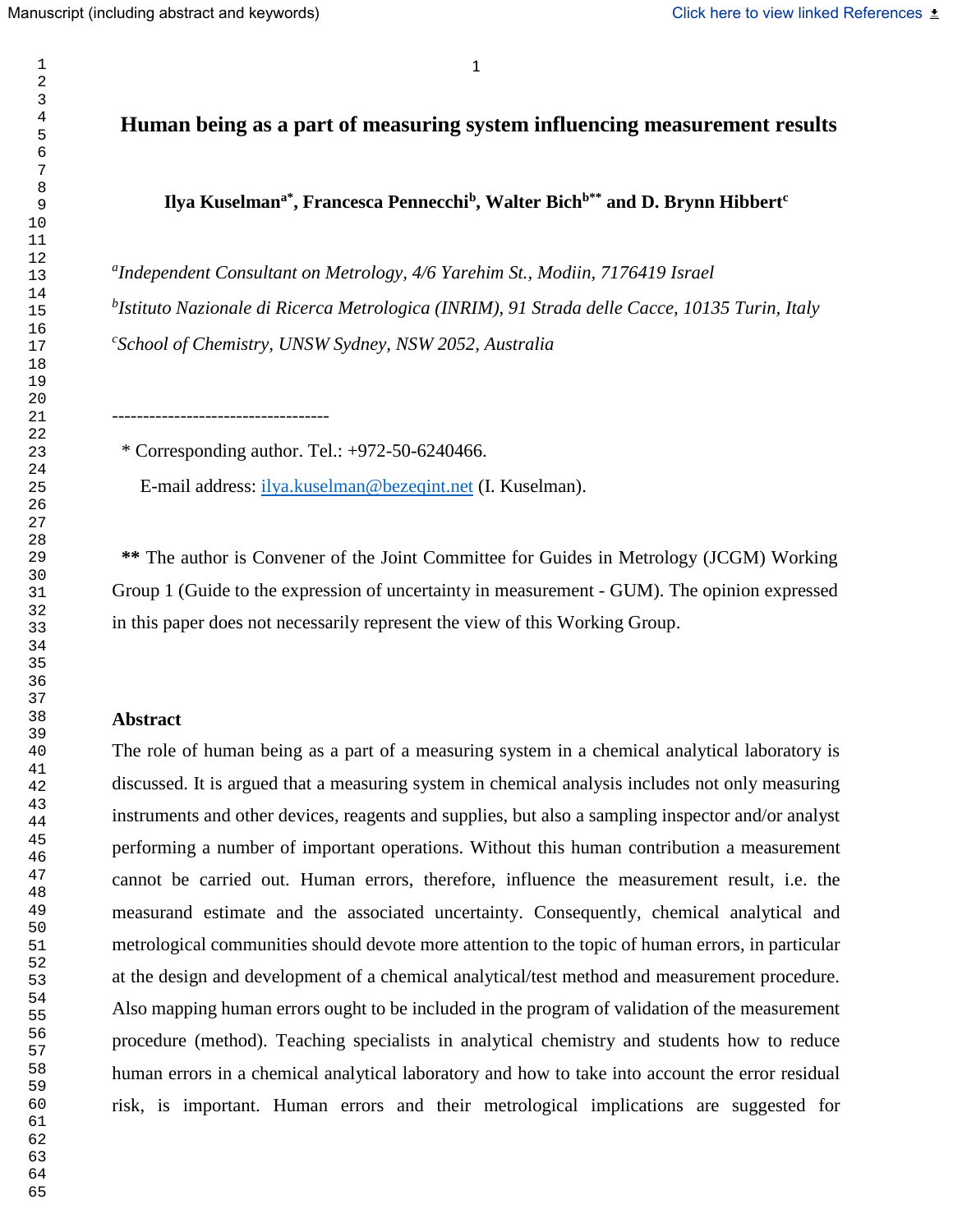## **Human being as a part of measuring system influencing measurement results**

**Ilya Kuselmana\* , Francesca Pennecchi<sup>b</sup> , Walter Bichb\*\* and D. Brynn Hibbert<sup>c</sup>**

*a Independent Consultant on Metrology, 4/6 Yarehim St., Modiin, 7176419 Israel b Istituto Nazionale di Ricerca Metrologica (INRIM), 91 Strada delle Cacce, 10135 Turin, Italy c School of Chemistry, UNSW Sydney, NSW 2052, Australia*

\* Corresponding author. Tel.: +972-50-6240466.

-----------------------------------

E-mail address: [ilya.kuselman@bezeqint.net](mailto:ilya.kuselman@bezeqint.net) (I. Kuselman).

 **\*\*** The author is Convener of the Joint Committee for Guides in Metrology (JCGM) Working Group 1 (Guide to the expression of uncertainty in measurement - GUM). The opinion expressed in this paper does not necessarily represent the view of this Working Group.

#### **Abstract**

The role of human being as a part of a measuring system in a chemical analytical laboratory is discussed. It is argued that a measuring system in chemical analysis includes not only measuring instruments and other devices, reagents and supplies, but also a sampling inspector and/or analyst performing a number of important operations. Without this human contribution a measurement cannot be carried out. Human errors, therefore, influence the measurement result, i.e. the measurand estimate and the associated uncertainty. Consequently, chemical analytical and metrological communities should devote more attention to the topic of human errors, in particular at the design and development of a chemical analytical/test method and measurement procedure. Also mapping human errors ought to be included in the program of validation of the measurement procedure (method). Teaching specialists in analytical chemistry and students how to reduce human errors in a chemical analytical laboratory and how to take into account the error residual risk, is important. Human errors and their metrological implications are suggested for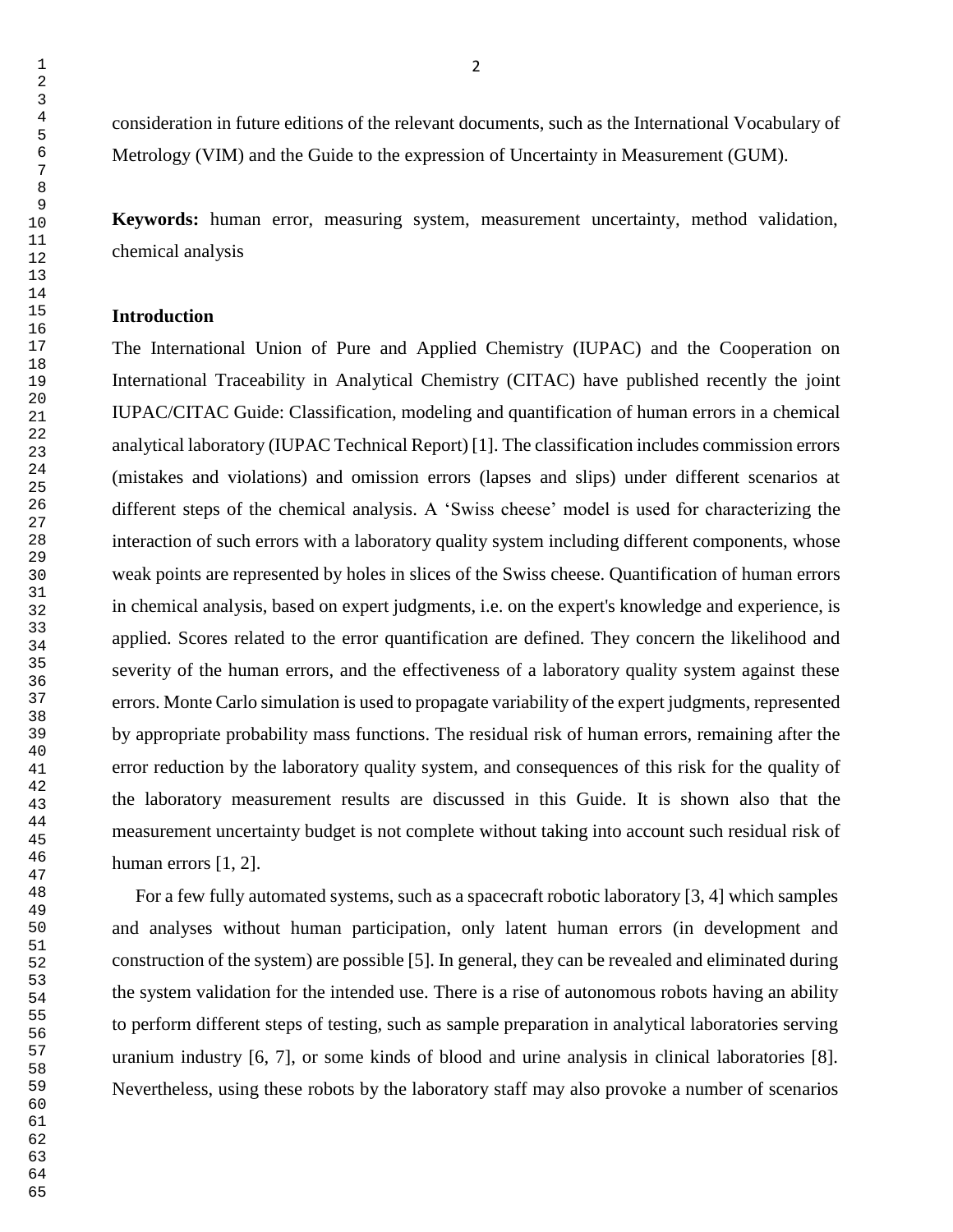consideration in future editions of the relevant documents, such as the International Vocabulary of Metrology (VIM) and the Guide to the expression of Uncertainty in Measurement (GUM).

**Keywords:** human error, measuring system, measurement uncertainty, method validation, chemical analysis

### **Introduction**

The International Union of Pure and Applied Chemistry (IUPAC) and the Cooperation on International Traceability in Analytical Chemistry (CITAC) have published recently the joint IUPAC/CITAC Guide: Classification, modeling and quantification of human errors in a chemical analytical laboratory (IUPAC Technical Report) [1]. The classification includes commission errors (mistakes and violations) and omission errors (lapses and slips) under different scenarios at different steps of the chemical analysis. A 'Swiss cheese' model is used for characterizing the interaction of such errors with a laboratory quality system including different components, whose weak points are represented by holes in slices of the Swiss cheese. Quantification of human errors in chemical analysis, based on expert judgments, i.e. on the expert's knowledge and experience, is applied. Scores related to the error quantification are defined. They concern the likelihood and severity of the human errors, and the effectiveness of a laboratory quality system against these errors. Monte Carlo simulation is used to propagate variability of the expert judgments, represented by appropriate probability mass functions. The residual risk of human errors, remaining after the error reduction by the laboratory quality system, and consequences of this risk for the quality of the laboratory measurement results are discussed in this Guide. It is shown also that the measurement uncertainty budget is not complete without taking into account such residual risk of human errors [1, 2].

 For a few fully automated systems, such as a spacecraft robotic laboratory [3, 4] which samples and analyses without human participation, only latent human errors (in development and construction of the system) are possible [5]. In general, they can be revealed and eliminated during the system validation for the intended use. There is a rise of autonomous robots having an ability to perform different steps of testing, such as sample preparation in analytical laboratories serving uranium industry [6, 7], or some kinds of blood and urine analysis in clinical laboratories [8]. Nevertheless, using these robots by the laboratory staff may also provoke a number of scenarios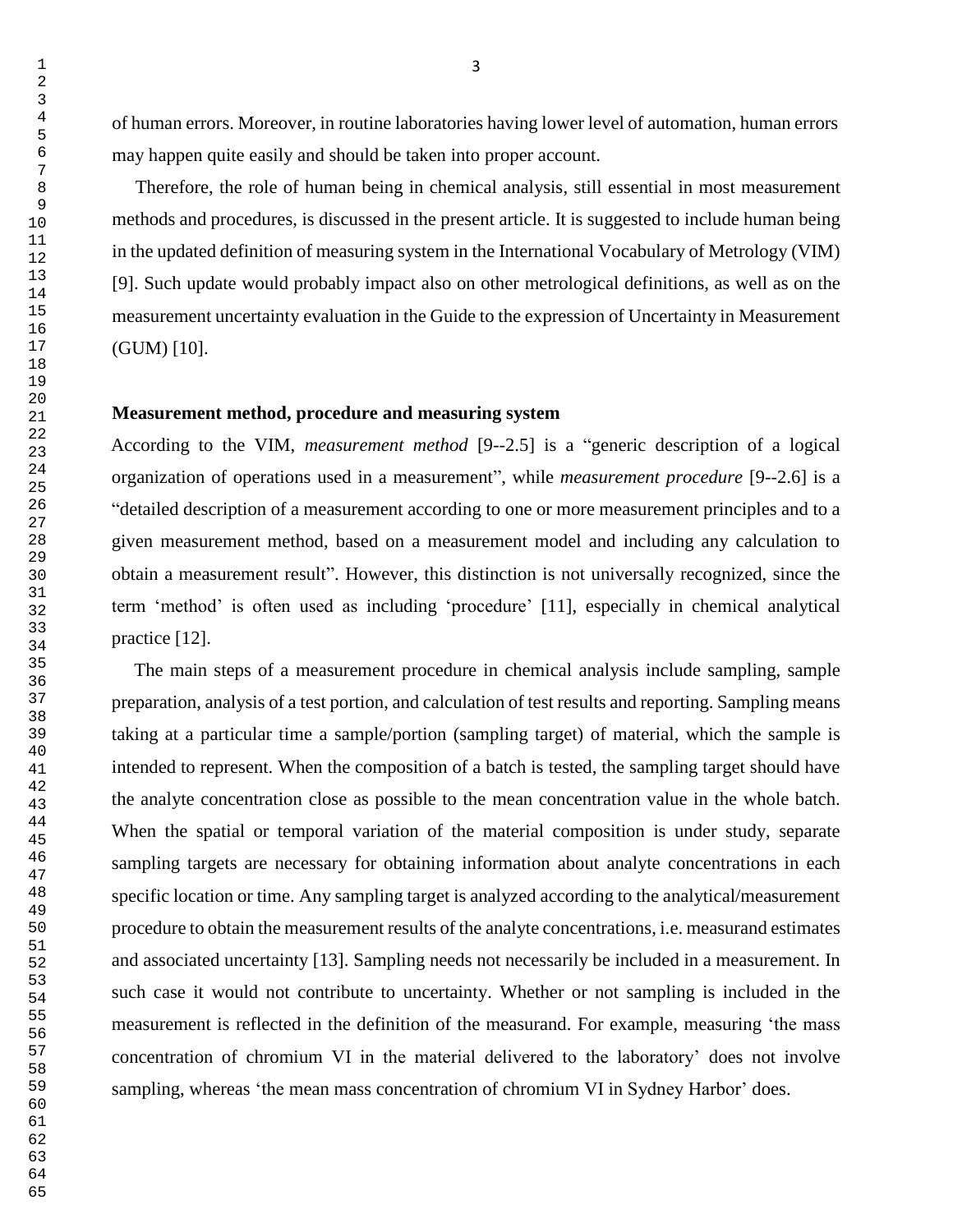of human errors. Moreover, in routine laboratories having lower level of automation, human errors may happen quite easily and should be taken into proper account.

 Therefore, the role of human being in chemical analysis, still essential in most measurement methods and procedures, is discussed in the present article. It is suggested to include human being in the updated definition of measuring system in the International Vocabulary of Metrology (VIM) [9]. Such update would probably impact also on other metrological definitions, as well as on the measurement uncertainty evaluation in the Guide to the expression of Uncertainty in Measurement (GUM) [10].

### **Measurement method, procedure and measuring system**

According to the VIM, *measurement method* [9--2.5] is a "generic description of a logical organization of operations used in a measurement", while *measurement procedure* [9--2.6] is a "detailed description of a measurement according to one or more measurement principles and to a given measurement method, based on a measurement model and including any calculation to obtain a measurement result". However, this distinction is not universally recognized, since the term 'method' is often used as including 'procedure' [11], especially in chemical analytical practice [12].

 The main steps of a measurement procedure in chemical analysis include sampling, sample preparation, analysis of a test portion, and calculation of test results and reporting. Sampling means taking at a particular time a sample/portion (sampling target) of material, which the sample is intended to represent. When the composition of a batch is tested, the sampling target should have the analyte concentration close as possible to the mean concentration value in the whole batch. When the spatial or temporal variation of the material composition is under study, separate sampling targets are necessary for obtaining information about analyte concentrations in each specific location or time. Any sampling target is analyzed according to the analytical/measurement procedure to obtain the measurement results of the analyte concentrations, i.e. measurand estimates and associated uncertainty [13]. Sampling needs not necessarily be included in a measurement. In such case it would not contribute to uncertainty. Whether or not sampling is included in the measurement is reflected in the definition of the measurand. For example, measuring 'the mass concentration of chromium VI in the material delivered to the laboratory' does not involve sampling, whereas 'the mean mass concentration of chromium VI in Sydney Harbor' does.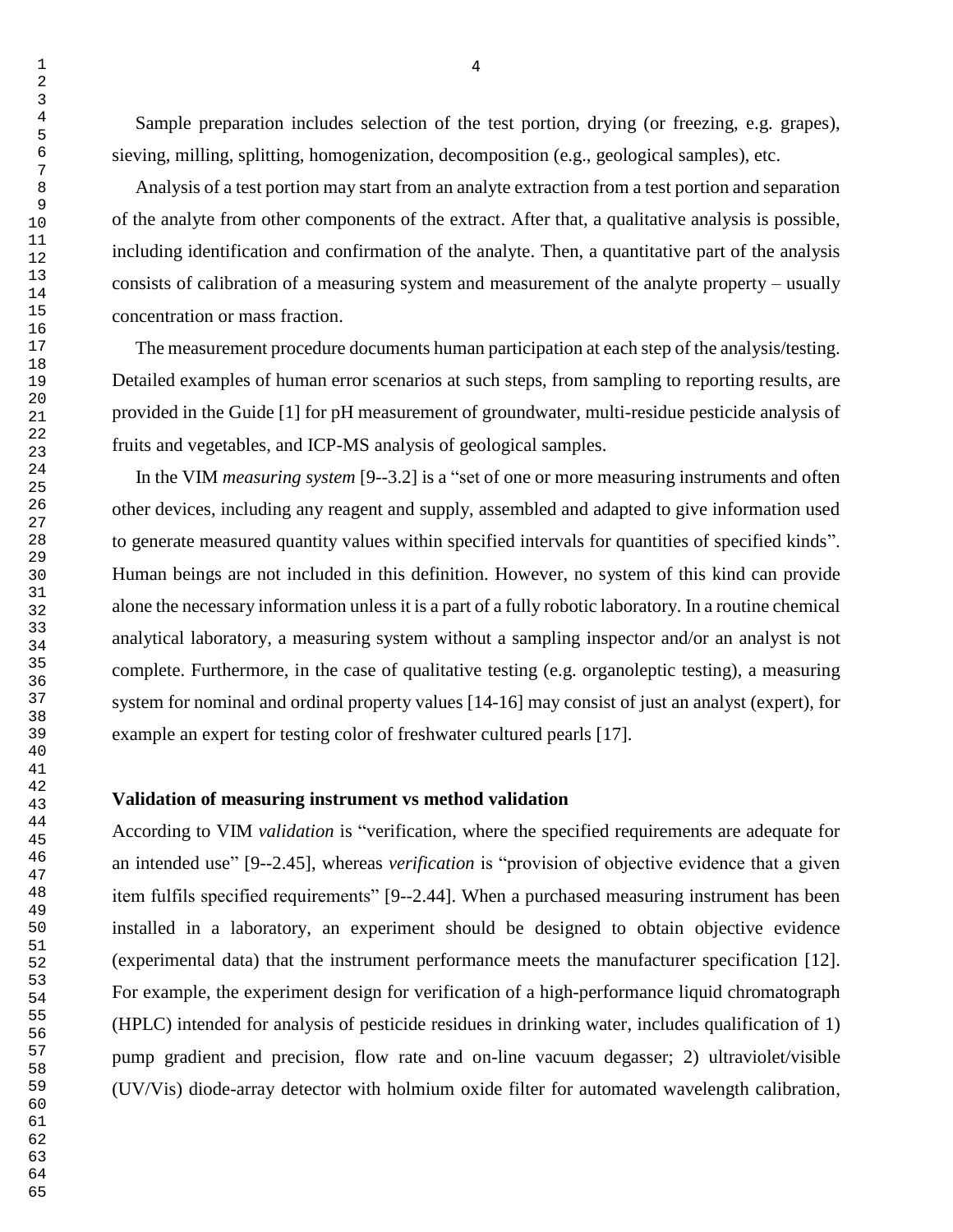Sample preparation includes selection of the test portion, drying (or freezing, e.g. grapes), sieving, milling, splitting, homogenization, decomposition (e.g., geological samples), etc.

 Analysis of a test portion may start from an analyte extraction from a test portion and separation of the analyte from other components of the extract. After that, a qualitative analysis is possible, including identification and confirmation of the analyte. Then, a quantitative part of the analysis consists of calibration of a measuring system and measurement of the analyte property – usually concentration or mass fraction.

 The measurement procedure documents human participation at each step of the analysis/testing. Detailed examples of human error scenarios at such steps, from sampling to reporting results, are provided in the Guide [1] for pH measurement of groundwater, multi-residue pesticide analysis of fruits and vegetables, and ICP-MS analysis of geological samples.

 In the VIM *measuring system* [9--3.2] is a "set of one or more measuring instruments and often other devices, including any reagent and supply, assembled and adapted to give information used to generate measured quantity values within specified intervals for quantities of specified kinds". Human beings are not included in this definition. However, no system of this kind can provide alone the necessary information unless it is a part of a fully robotic laboratory. In a routine chemical analytical laboratory, a measuring system without a sampling inspector and/or an analyst is not complete. Furthermore, in the case of qualitative testing (e.g. organoleptic testing), a measuring system for nominal and ordinal property values [14-16] may consist of just an analyst (expert), for example an expert for testing color of freshwater cultured pearls [17].

## **Validation of measuring instrument vs method validation**

According to VIM *validation* is "verification, where the specified requirements are adequate for an intended use" [9--2.45], whereas *verification* is "provision of objective evidence that a given item fulfils specified requirements" [9--2.44]. When a purchased measuring instrument has been installed in a laboratory, an experiment should be designed to obtain objective evidence (experimental data) that the instrument performance meets the manufacturer specification [12]. For example, the experiment design for verification of a high-performance liquid chromatograph (HPLC) intended for analysis of pesticide residues in drinking water, includes qualification of 1) pump gradient and precision, flow rate and on-line vacuum degasser; 2) ultraviolet/visible (UV/Vis) diode-array detector with holmium oxide filter for automated wavelength calibration,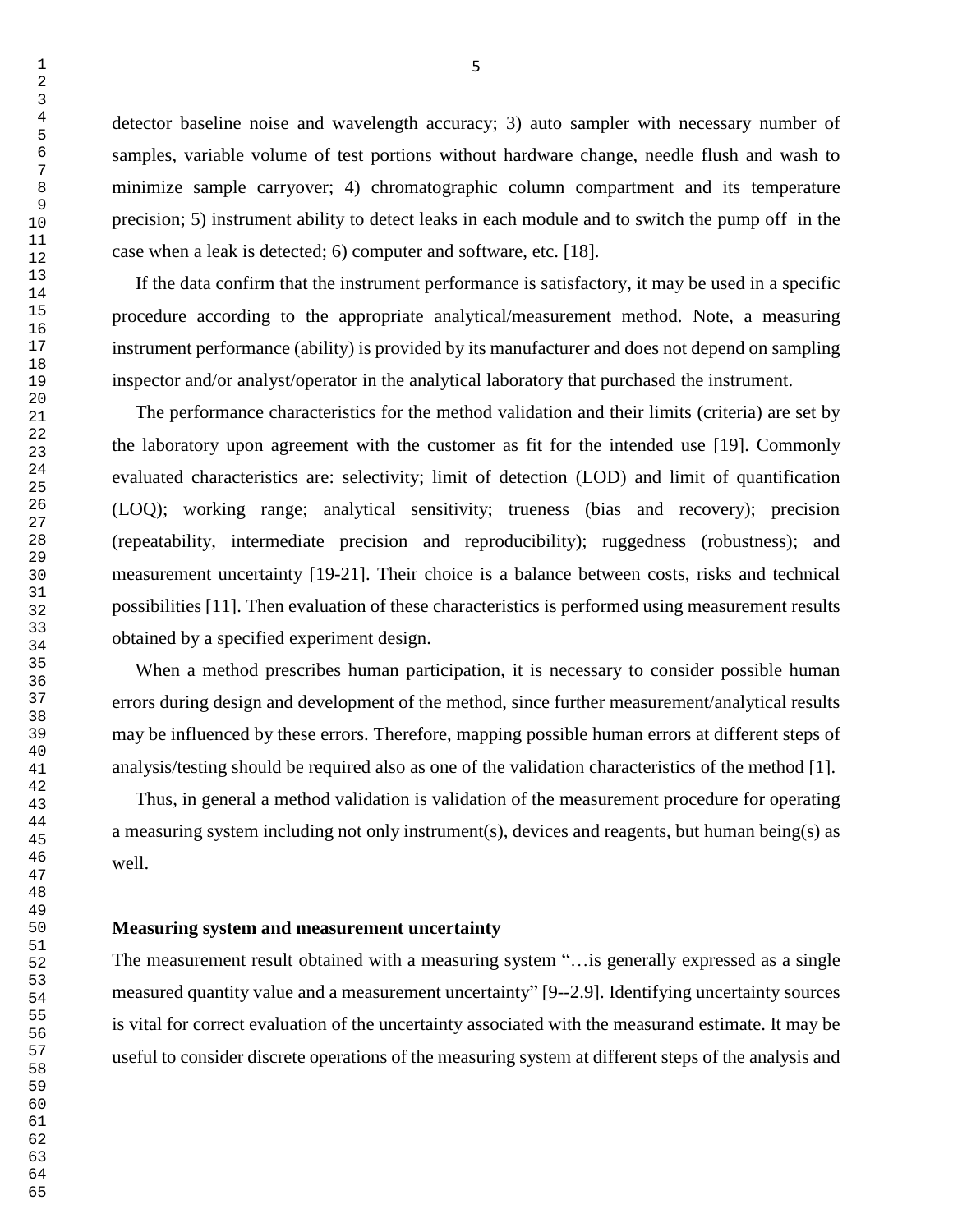detector baseline noise and wavelength accuracy; 3) auto sampler with necessary number of samples, variable volume of test portions without hardware change, needle flush and wash to minimize sample carryover; 4) chromatographic column compartment and its temperature precision; 5) instrument ability to detect leaks in each module and to switch the pump off in the case when a leak is detected; 6) computer and software, etc. [18].

 If the data confirm that the instrument performance is satisfactory, it may be used in a specific procedure according to the appropriate analytical/measurement method. Note, a measuring instrument performance (ability) is provided by its manufacturer and does not depend on sampling inspector and/or analyst/operator in the analytical laboratory that purchased the instrument.

 The performance characteristics for the method validation and their limits (criteria) are set by the laboratory upon agreement with the customer as fit for the intended use [19]. Commonly evaluated characteristics are: selectivity; limit of detection (LOD) and limit of quantification (LOQ); working range; analytical sensitivity; trueness (bias and recovery); precision (repeatability, intermediate precision and reproducibility); ruggedness (robustness); and measurement uncertainty [19-21]. Their choice is a balance between costs, risks and technical possibilities [11]. Then evaluation of these characteristics is performed using measurement results obtained by a specified experiment design.

 When a method prescribes human participation, it is necessary to consider possible human errors during design and development of the method, since further measurement/analytical results may be influenced by these errors. Therefore, mapping possible human errors at different steps of analysis/testing should be required also as one of the validation characteristics of the method [1].

 Thus, in general a method validation is validation of the measurement procedure for operating a measuring system including not only instrument(s), devices and reagents, but human being(s) as well.

## **Measuring system and measurement uncertainty**

The measurement result obtained with a measuring system "…is generally expressed as a single measured quantity value and a measurement uncertainty" [9--2.9]. Identifying uncertainty sources is vital for correct evaluation of the uncertainty associated with the measurand estimate. It may be useful to consider discrete operations of the measuring system at different steps of the analysis and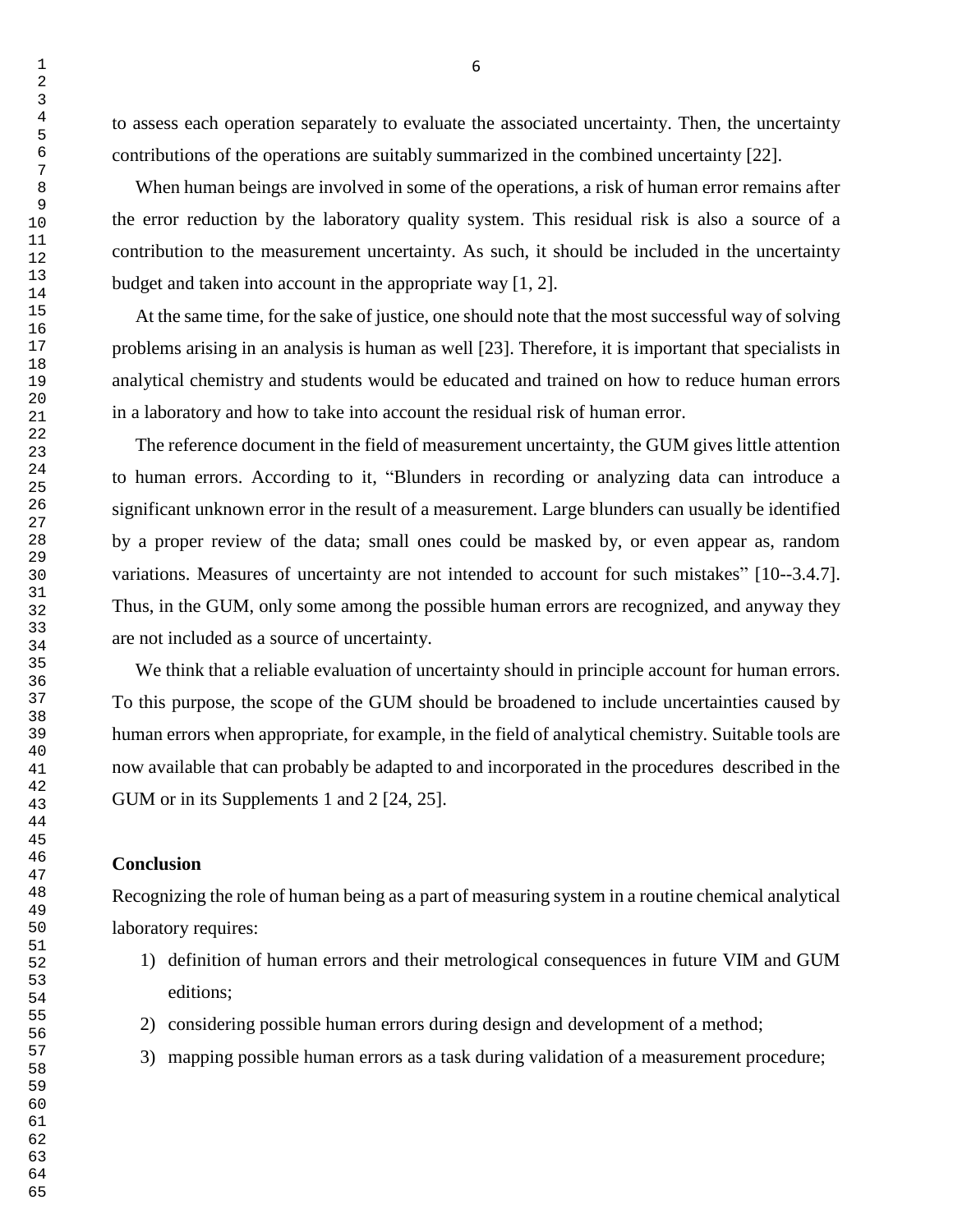to assess each operation separately to evaluate the associated uncertainty. Then, the uncertainty contributions of the operations are suitably summarized in the combined uncertainty [22].

 When human beings are involved in some of the operations, a risk of human error remains after the error reduction by the laboratory quality system. This residual risk is also a source of a contribution to the measurement uncertainty. As such, it should be included in the uncertainty budget and taken into account in the appropriate way [1, 2].

 At the same time, for the sake of justice, one should note that the most successful way of solving problems arising in an analysis is human as well [23]. Therefore, it is important that specialists in analytical chemistry and students would be educated and trained on how to reduce human errors in a laboratory and how to take into account the residual risk of human error.

 The reference document in the field of measurement uncertainty, the GUM gives little attention to human errors. According to it, "Blunders in recording or analyzing data can introduce a significant unknown error in the result of a measurement. Large blunders can usually be identified by a proper review of the data; small ones could be masked by, or even appear as, random variations. Measures of uncertainty are not intended to account for such mistakes" [10--3.4.7]. Thus, in the GUM, only some among the possible human errors are recognized, and anyway they are not included as a source of uncertainty.

We think that a reliable evaluation of uncertainty should in principle account for human errors. To this purpose, the scope of the GUM should be broadened to include uncertainties caused by human errors when appropriate, for example, in the field of analytical chemistry. Suitable tools are now available that can probably be adapted to and incorporated in the procedures described in the GUM or in its Supplements 1 and 2 [24, 25].

## **Conclusion**

Recognizing the role of human being as a part of measuring system in a routine chemical analytical laboratory requires:

- 1) definition of human errors and their metrological consequences in future VIM and GUM editions;
- 2) considering possible human errors during design and development of a method;
- 3) mapping possible human errors as a task during validation of a measurement procedure;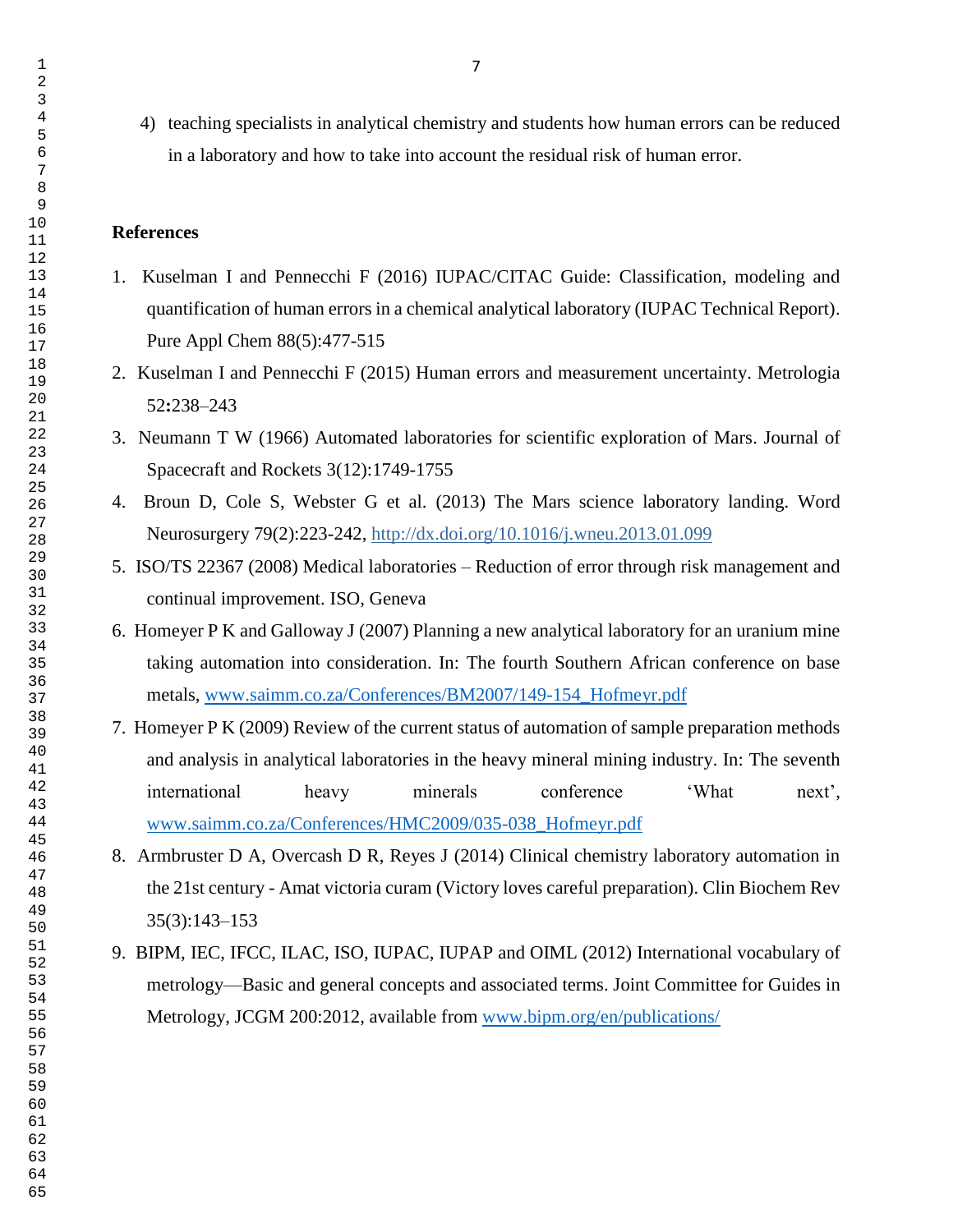4) teaching specialists in analytical chemistry and students how human errors can be reduced in a laboratory and how to take into account the residual risk of human error.

## **References**

- 1. Kuselman I and Pennecchi F (2016) IUPAC/CITAC Guide: Classification, modeling and quantification of human errors in a chemical analytical laboratory (IUPAC Technical Report). Pure Appl Chem 88(5):477-515
- 2. Kuselman I and Pennecchi F (2015) Human errors and measurement uncertainty. Metrologia **:**238–243
- 3. Neumann T W (1966) Automated laboratories for scientific exploration of Mars. Journal of Spacecraft and Rockets 3(12):1749-1755
- 4. Broun D, Cole S, Webster G et al. (2013) The Mars science laboratory landing. Word Neurosurgery 79(2):223-242, <http://dx.doi.org/10.1016/j.wneu.2013.01.099>
- 5. ISO/TS 22367 (2008) Medical laboratories Reduction of error through risk management and continual improvement. ISO, Geneva
- 6. Homeyer P K and Galloway J (2007) Planning a new analytical laboratory for an uranium mine taking automation into consideration. In: The fourth Southern African conference on base metals, [www.saimm.co.za/Conferences/BM2007/149-154\\_Hofmeyr.pdf](http://www.saimm.co.za/Conferences/BM2007/149-154_Hofmeyr.pdf)
- 7. Homeyer P K (2009) Review of the current status of automation of sample preparation methods and analysis in analytical laboratories in the heavy mineral mining industry. In: The seventh international heavy minerals conference 'What next', [www.saimm.co.za/Conferences/HMC2009/035-038\\_Hofmeyr.pdf](http://www.saimm.co.za/Conferences/HMC2009/035-038_Hofmeyr.pdf)
- 8. Armbruster D A, Overcash D R, Reyes J (2014) Clinical chemistry laboratory automation in the 21st century - Amat victoria curam (Victory loves careful preparation). Clin Biochem Rev 35(3):143–153
- 9. BIPM, IEC, IFCC, ILAC, ISO, IUPAC, IUPAP and OIML (2012) International vocabulary of metrology—Basic and general concepts and associated terms. Joint Committee for Guides in Metrology, JCGM 200:2012, available from [www.bipm.org/en/publications/](http://www.bipm.org/en/publications/)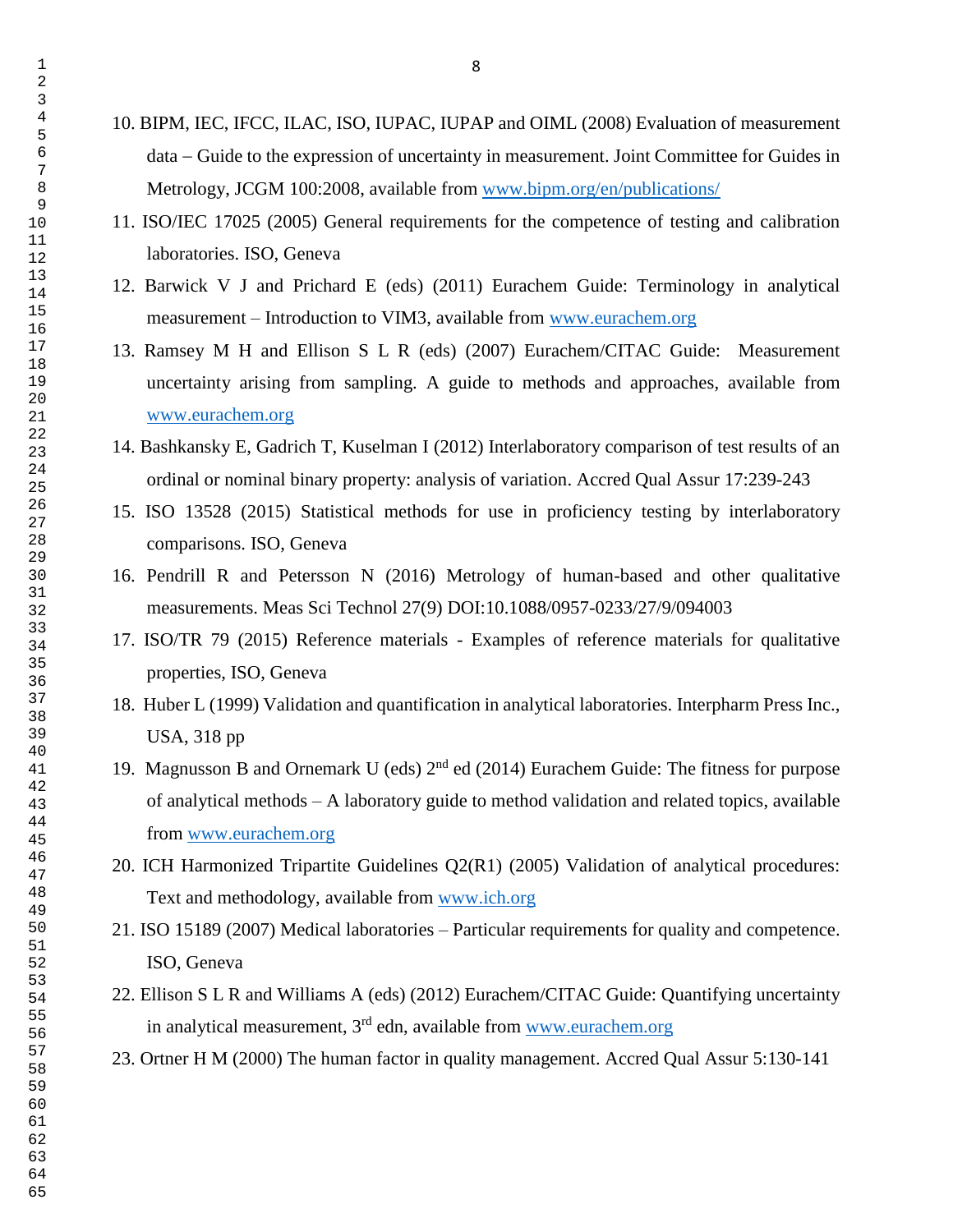- 10. BIPM, IEC, IFCC, ILAC, ISO, IUPAC, IUPAP and OIML (2008) Evaluation of measurement data Guide to the expression of uncertainty in measurement. Joint Committee for Guides in Metrology, JCGM 100:2008, available from [www.bipm.org/en/publications/](http://www.bipm.org/en/publications/)
- 11. ISO/IEC 17025 (2005) General requirements for the competence of testing and calibration laboratories. ISO, Geneva
- 12. Barwick V J and Prichard E (eds) (2011) Eurachem Guide: Terminology in analytical measurement – Introduction to VIM3, available from [www.eurachem.org](http://www.eurachem.org/)
- 13. Ramsey M H and Ellison S L R (eds) (2007) Eurachem/CITAC Guide: Measurement uncertainty arising from sampling. A guide to methods and approaches, available from [www.eurachem.org](http://www.eurachem.org/)
- 14. Bashkansky E, Gadrich T, Kuselman I (2012) Interlaboratory comparison of test results of an ordinal or nominal binary property: analysis of variation. Accred Qual Assur 17:239-243
- 15. ISO 13528 (2015) Statistical methods for use in proficiency testing by interlaboratory comparisons. ISO, Geneva
- 16. Pendrill R and Petersson N (2016) Metrology of human-based and other qualitative measurements. Meas Sci Technol 27(9) DOI:10.1088/0957-0233/27/9/094003
- 17. ISO/TR 79 (2015) Reference materials Examples of reference materials for qualitative properties, ISO, Geneva
- 18. Huber L (1999) Validation and quantification in analytical laboratories. Interpharm Press Inc., USA, 318 pp
- 19. Magnusson B and Ornemark U (eds)  $2<sup>nd</sup>$  ed (2014) Eurachem Guide: The fitness for purpose of analytical methods – A laboratory guide to method validation and related topics, available from [www.eurachem.org](http://www.eurachem.org/)
- 20. ICH Harmonized Tripartite Guidelines Q2(R1) (2005) Validation of analytical procedures: Text and methodology, available from [www.ich.org](http://www.ich.org/)
- 21. ISO 15189 (2007) Medical laboratories Particular requirements for quality and competence. ISO, Geneva
- 22. Ellison S L R and Williams A (eds) (2012) Eurachem/CITAC Guide: Quantifying uncertainty in analytical measurement, 3<sup>rd</sup> edn, available from [www.eurachem.org](http://www.eurachem.org/)
- 23. Ortner H M (2000) The human factor in quality management. Accred Qual Assur 5:130-141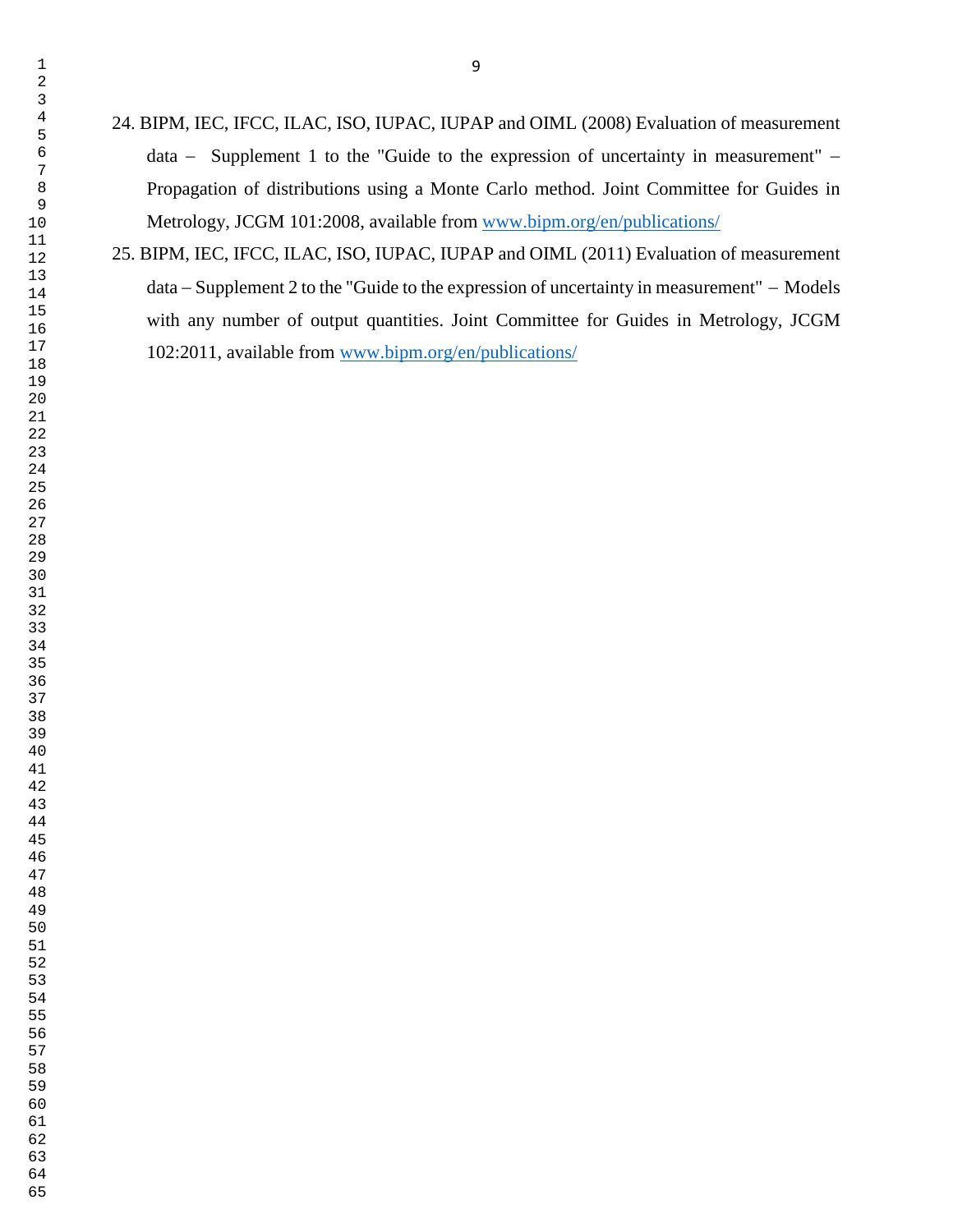- 24. BIPM, IEC, IFCC, ILAC, ISO, IUPAC, IUPAP and OIML (2008) Evaluation of measurement  $data -$  Supplement 1 to the "Guide to the expression of uncertainty in measurement"  $-$ Propagation of distributions using a Monte Carlo method. Joint Committee for Guides in Metrology, JCGM 101:2008, available from [www.bipm.org/en/publications/](http://www.bipm.org/en/publications/)
- 25. BIPM, IEC, IFCC, ILAC, ISO, IUPAC, IUPAP and OIML (2011) Evaluation of measurement  $data - Supplement 2 to the "Guide to the expression of uncertainty in measurement" - Models$ with any number of output quantities. Joint Committee for Guides in Metrology, JCGM 102:2011, available from [www.bipm.org/en/publications/](http://www.bipm.org/en/publications/)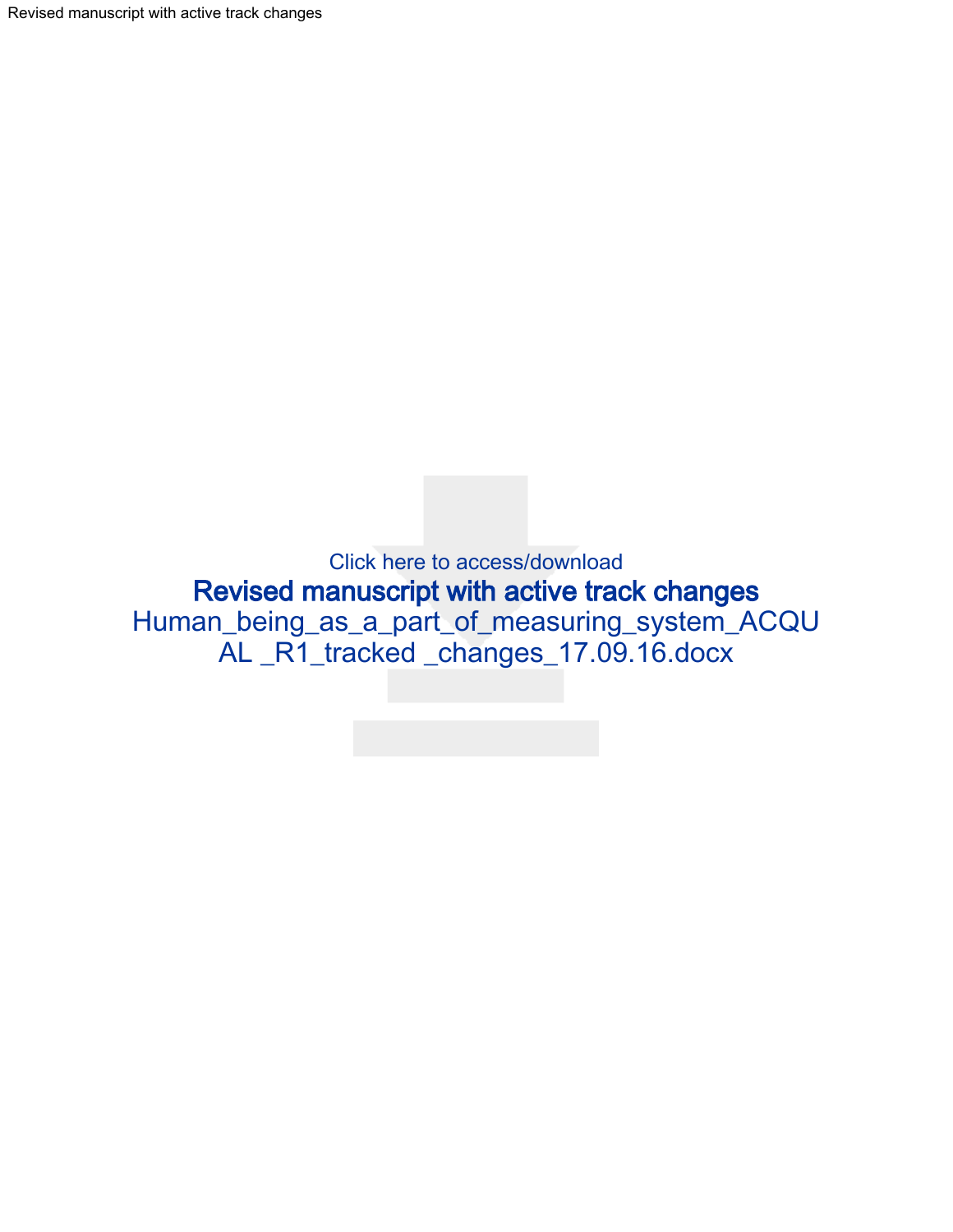Revised manuscript with active track changes

Click here to access/download Revised manuscript with active track changes [Human\\_being\\_as\\_a\\_part\\_of\\_measuring\\_system\\_ACQU](http://www.editorialmanager.com/acqa/download.aspx?id=36724&guid=7f0f3f2a-5fec-463f-b027-b9179ed6c7e9&scheme=1) AL \_R1\_tracked \_changes\_17.09.16.docx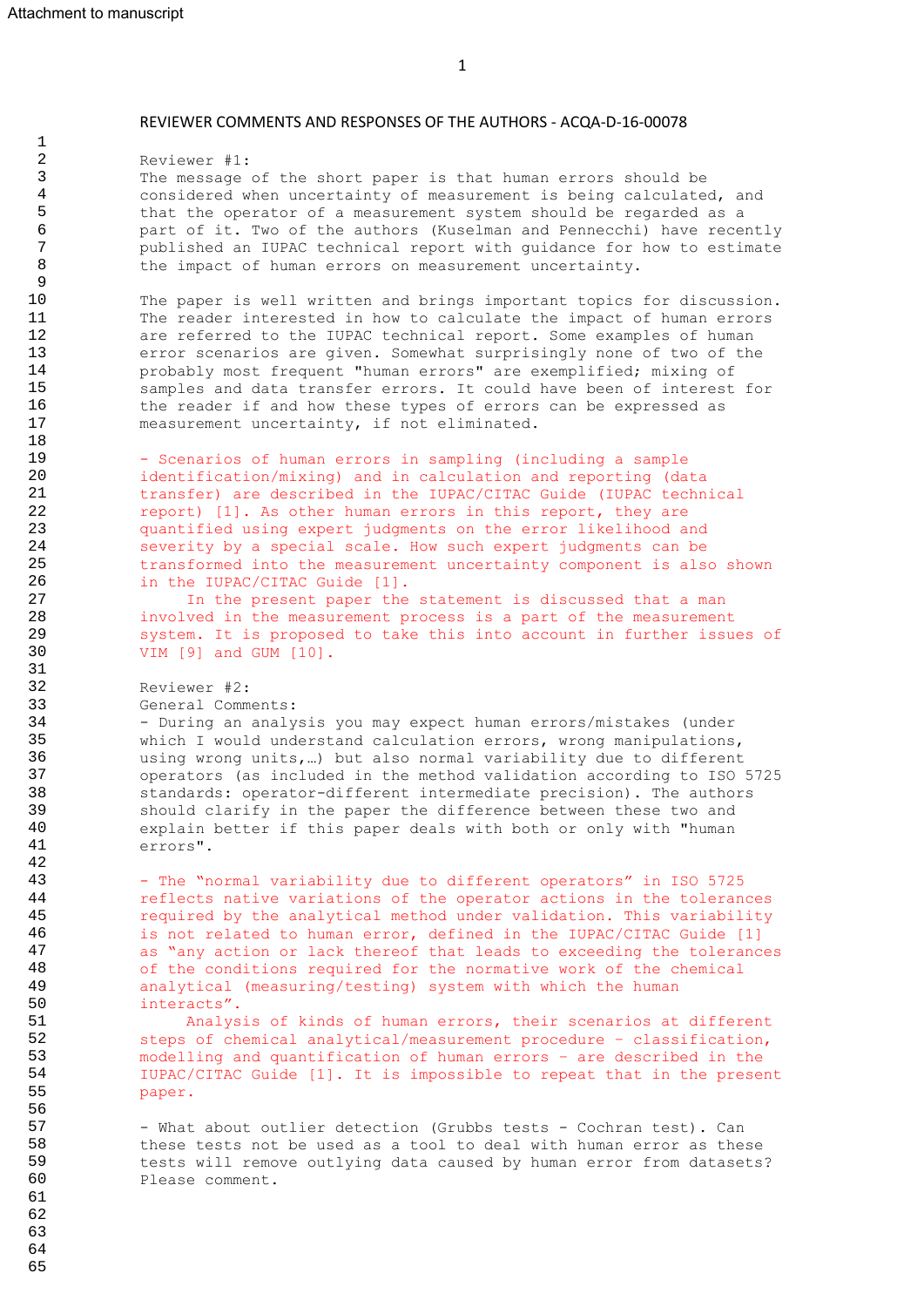1

REVIEWER COMMENTS AND RESPONSES OF THE AUTHORS - ACQA-D-16-00078

Reviewer #1: The message of the short paper is that human errors should be considered when uncertainty of measurement is being calculated, and that the operator of a measurement system should be regarded as a part of it. Two of the authors (Kuselman and Pennecchi) have recently published an IUPAC technical report with guidance for how to estimate the impact of human errors on measurement uncertainty. The paper is well written and brings important topics for discussion. The reader interested in how to calculate the impact of human errors are referred to the IUPAC technical report. Some examples of human error scenarios are given. Somewhat surprisingly none of two of the probably most frequent "human errors" are exemplified; mixing of samples and data transfer errors. It could have been of interest for the reader if and how these types of errors can be expressed as measurement uncertainty, if not eliminated. - Scenarios of human errors in sampling (including a sample identification/mixing) and in calculation and reporting (data transfer) are described in the IUPAC/CITAC Guide (IUPAC technical report) [1]. As other human errors in this report, they are quantified using expert judgments on the error likelihood and severity by a special scale. How such expert judgments can be transformed into the measurement uncertainty component is also shown in the IUPAC/CITAC Guide [1]. In the present paper the statement is discussed that a man involved in the measurement process is a part of the measurement system. It is proposed to take this into account in further issues of VIM [9] and GUM [10]. Reviewer #2: General Comments: - During an analysis you may expect human errors/mistakes (under which I would understand calculation errors, wrong manipulations, using wrong units,…) but also normal variability due to different operators (as included in the method validation according to ISO 5725 standards: operator-different intermediate precision). The authors should clarify in the paper the difference between these two and explain better if this paper deals with both or only with "human errors". - The "normal variability due to different operators" in ISO 5725 reflects native variations of the operator actions in the tolerances required by the analytical method under validation. This variability is not related to human error, defined in the IUPAC/CITAC Guide [1] as "any action or lack thereof that leads to exceeding the tolerances of the conditions required for the normative work of the chemical analytical (measuring/testing) system with which the human interacts". Analysis of kinds of human errors, their scenarios at different steps of chemical analytical/measurement procedure – classification, modelling and quantification of human errors – are described in the IUPAC/CITAC Guide [1]. It is impossible to repeat that in the present paper. - What about outlier detection (Grubbs tests - Cochran test). Can 2 3 4 5 6 7 8 9 10 11 12 13 14 15 16 17 18 19 20 21 22 23 24 25 26 27 28 29 30 31 32 33 34 35 36 37 38 39 40 41 42 43 44 45 46 47 48 49 50 51 52 53 54 55 56 57

these tests not be used as a tool to deal with human error as these tests will remove outlying data caused by human error from datasets? Please comment.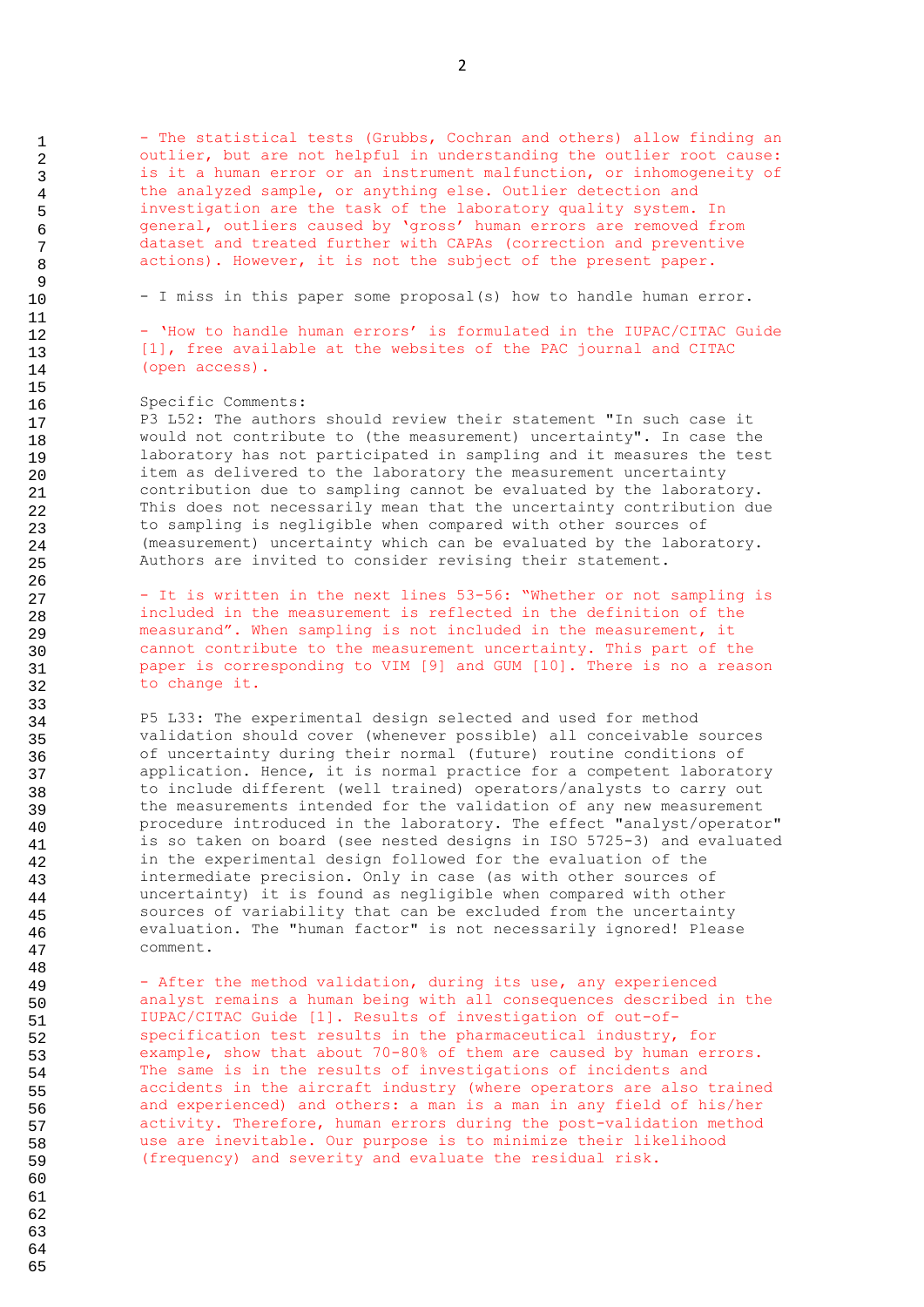- The statistical tests (Grubbs, Cochran and others) allow finding an outlier, but are not helpful in understanding the outlier root cause: is it a human error or an instrument malfunction, or inhomogeneity of the analyzed sample, or anything else. Outlier detection and investigation are the task of the laboratory quality system. In general, outliers caused by 'gross' human errors are removed from dataset and treated further with CAPAs (correction and preventive actions). However, it is not the subject of the present paper.

- I miss in this paper some proposal(s) how to handle human error.

- 'How to handle human errors' is formulated in the IUPAC/CITAC Guide [1], free available at the websites of the PAC journal and CITAC (open access).

#### Specific Comments:

P3 L52: The authors should review their statement "In such case it would not contribute to (the measurement) uncertainty". In case the laboratory has not participated in sampling and it measures the test item as delivered to the laboratory the measurement uncertainty contribution due to sampling cannot be evaluated by the laboratory. This does not necessarily mean that the uncertainty contribution due to sampling is negligible when compared with other sources of (measurement) uncertainty which can be evaluated by the laboratory. Authors are invited to consider revising their statement.

- It is written in the next lines 53-56: "Whether or not sampling is included in the measurement is reflected in the definition of the measurand". When sampling is not included in the measurement, it cannot contribute to the measurement uncertainty. This part of the paper is corresponding to VIM [9] and GUM [10]. There is no a reason to change it.

P5 L33: The experimental design selected and used for method validation should cover (whenever possible) all conceivable sources of uncertainty during their normal (future) routine conditions of application. Hence, it is normal practice for a competent laboratory to include different (well trained) operators/analysts to carry out the measurements intended for the validation of any new measurement procedure introduced in the laboratory. The effect "analyst/operator" is so taken on board (see nested designs in ISO 5725-3) and evaluated in the experimental design followed for the evaluation of the intermediate precision. Only in case (as with other sources of uncertainty) it is found as negligible when compared with other sources of variability that can be excluded from the uncertainty evaluation. The "human factor" is not necessarily ignored! Please comment.

- After the method validation, during its use, any experienced analyst remains a human being with all consequences described in the IUPAC/CITAC Guide [1]. Results of investigation of out-ofspecification test results in the pharmaceutical industry, for example, show that about 70-80% of them are caused by human errors. The same is in the results of investigations of incidents and accidents in the aircraft industry (where operators are also trained and experienced) and others: a man is a man in any field of his/her activity. Therefore, human errors during the post-validation method use are inevitable. Our purpose is to minimize their likelihood (frequency) and severity and evaluate the residual risk.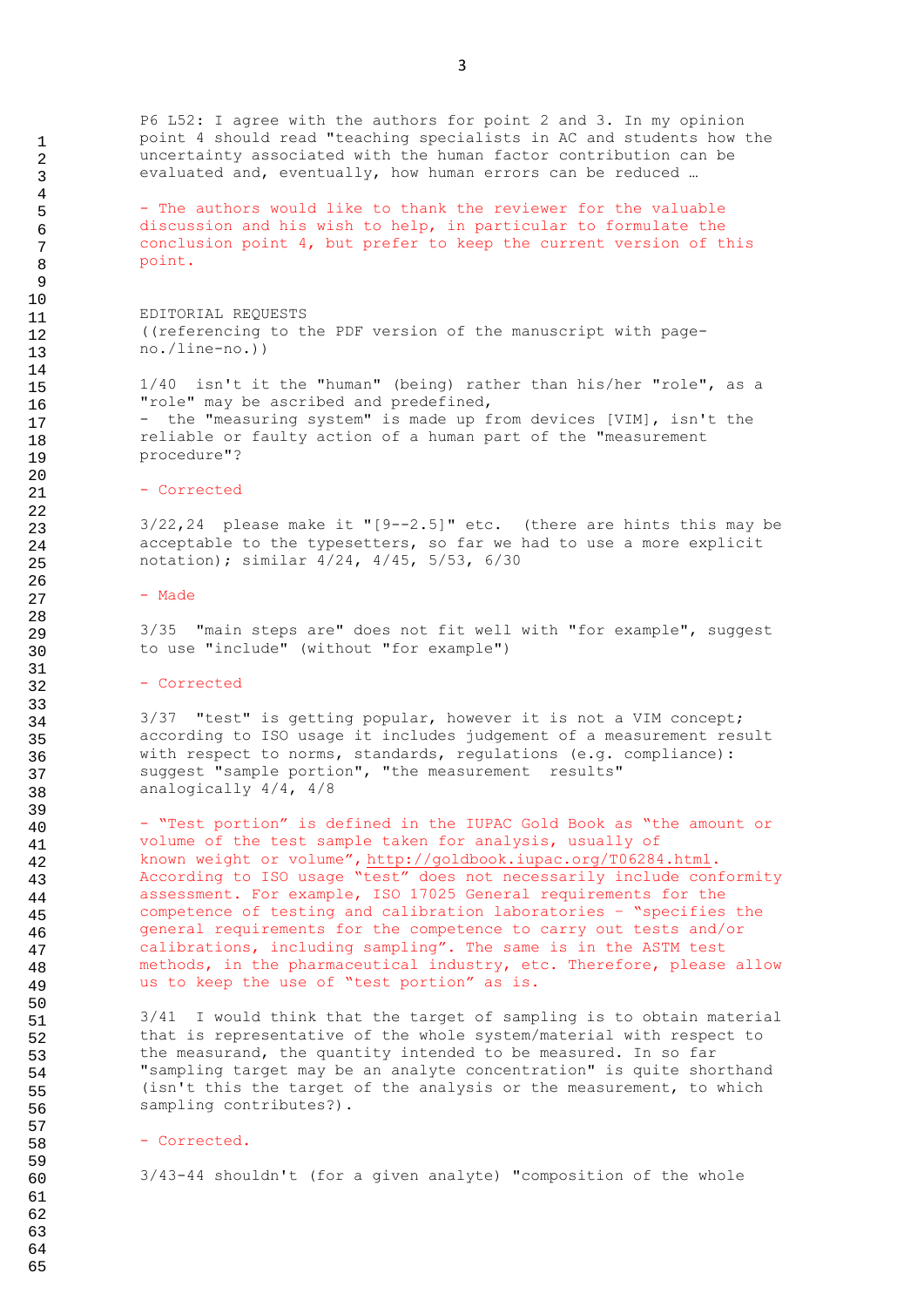P6 L52: I agree with the authors for point 2 and 3. In my opinion point 4 should read "teaching specialists in AC and students how the uncertainty associated with the human factor contribution can be evaluated and, eventually, how human errors can be reduced …

- The authors would like to thank the reviewer for the valuable discussion and his wish to help, in particular to formulate the conclusion point 4, but prefer to keep the current version of this point.

EDITORIAL REQUESTS ((referencing to the PDF version of the manuscript with pageno./line-no.))

1/40 isn't it the "human" (being) rather than his/her "role", as a "role" may be ascribed and predefined, - the "measuring system" is made up from devices [VIM], isn't the reliable or faulty action of a human part of the "measurement procedure"?

#### - Corrected

 $3/22,24$  please make it " $[9--2.5]$ " etc. (there are hints this may be acceptable to the typesetters, so far we had to use a more explicit notation); similar 4/24, 4/45, 5/53, 6/30

#### - Made

3/35 "main steps are" does not fit well with "for example", suggest to use "include" (without "for example")

#### - Corrected

3/37 "test" is getting popular, however it is not a VIM concept; according to ISO usage it includes judgement of a measurement result with respect to norms, standards, regulations (e.g. compliance): suggest "sample portion", "the measurement results" analogically 4/4, 4/8

- "Test portion" is defined in the IUPAC Gold Book as "the amount or volume of the [test sample](http://goldbook.iupac.org/T06285.html) taken for analysis, usually of known [weight](http://goldbook.iupac.org/W06668.html) or volume", [http://goldbook.iupac.org/T06284.html.](http://goldbook.iupac.org/T06284.html) According to ISO usage "test" does not necessarily include conformity assessment. For example, ISO 17025 General requirements for the competence of testing and calibration laboratories – "specifies the general requirements for the competence to carry out tests and/or calibrations, including sampling". The same is in the ASTM test methods, in the pharmaceutical industry, etc. Therefore, please allow us to keep the use of "test portion" as is.

3/41 I would think that the target of sampling is to obtain material that is representative of the whole system/material with respect to the measurand, the quantity intended to be measured. In so far "sampling target may be an analyte concentration" is quite shorthand (isn't this the target of the analysis or the measurement, to which sampling contributes?).

#### - Corrected.

3/43-44 shouldn't (for a given analyte) "composition of the whole

3